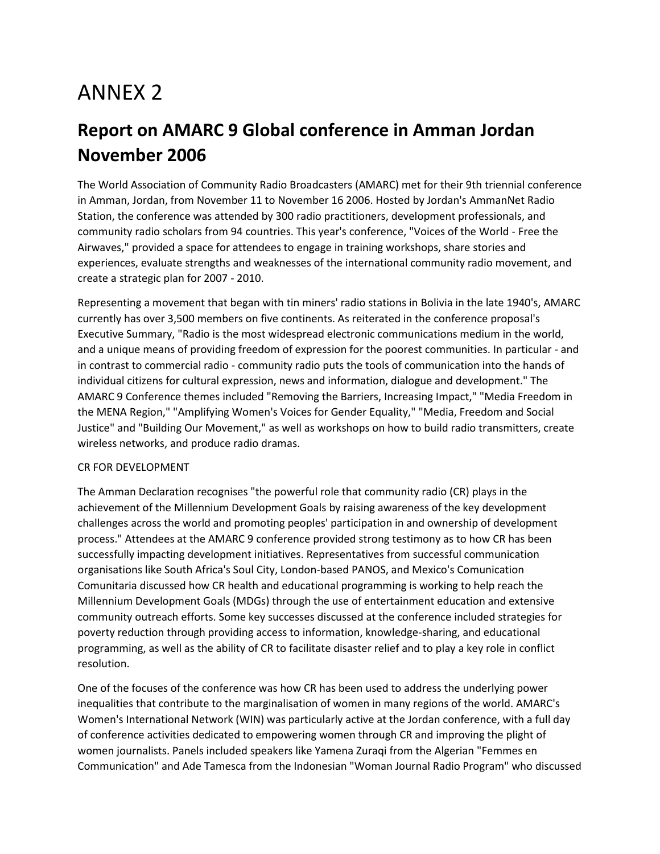# ANNEX 2

## **Report on AMARC 9 Global conference in Amman Jordan November 2006**

The World Association of Community Radio Broadcasters (AMARC) met for their 9th triennial conference in Amman, Jordan, from November 11 to November 16 2006. Hosted by Jordan's AmmanNet Radio Station, the conference was attended by 300 radio practitioners, development professionals, and community radio scholars from 94 countries. This year's conference, "Voices of the World - Free the Airwaves," provided a space for attendees to engage in training workshops, share stories and experiences, evaluate strengths and weaknesses of the international community radio movement, and create a strategic plan for 2007 - 2010.

Representing a movement that began with tin miners' radio stations in Bolivia in the late 1940's, AMARC currently has over 3,500 members on five continents. As reiterated in the conference proposal's Executive Summary, "Radio is the most widespread electronic communications medium in the world, and a unique means of providing freedom of expression for the poorest communities. In particular - and in contrast to commercial radio - community radio puts the tools of communication into the hands of individual citizens for cultural expression, news and information, dialogue and development." The AMARC 9 Conference themes included "Removing the Barriers, Increasing Impact," "Media Freedom in the MENA Region," "Amplifying Women's Voices for Gender Equality," "Media, Freedom and Social Justice" and "Building Our Movement," as well as workshops on how to build radio transmitters, create wireless networks, and produce radio dramas.

#### CR FOR DEVELOPMENT

The Amman Declaration recognises "the powerful role that community radio (CR) plays in the achievement of the Millennium Development Goals by raising awareness of the key development challenges across the world and promoting peoples' participation in and ownership of development process." Attendees at the AMARC 9 conference provided strong testimony as to how CR has been successfully impacting development initiatives. Representatives from successful communication organisations like South Africa's Soul City, London-based PANOS, and Mexico's Comunication Comunitaria discussed how CR health and educational programming is working to help reach the Millennium Development Goals (MDGs) through the use of entertainment education and extensive community outreach efforts. Some key successes discussed at the conference included strategies for poverty reduction through providing access to information, knowledge-sharing, and educational programming, as well as the ability of CR to facilitate disaster relief and to play a key role in conflict resolution.

One of the focuses of the conference was how CR has been used to address the underlying power inequalities that contribute to the marginalisation of women in many regions of the world. AMARC's Women's International Network (WIN) was particularly active at the Jordan conference, with a full day of conference activities dedicated to empowering women through CR and improving the plight of women journalists. Panels included speakers like Yamena Zuraqi from the Algerian "Femmes en Communication" and Ade Tamesca from the Indonesian "Woman Journal Radio Program" who discussed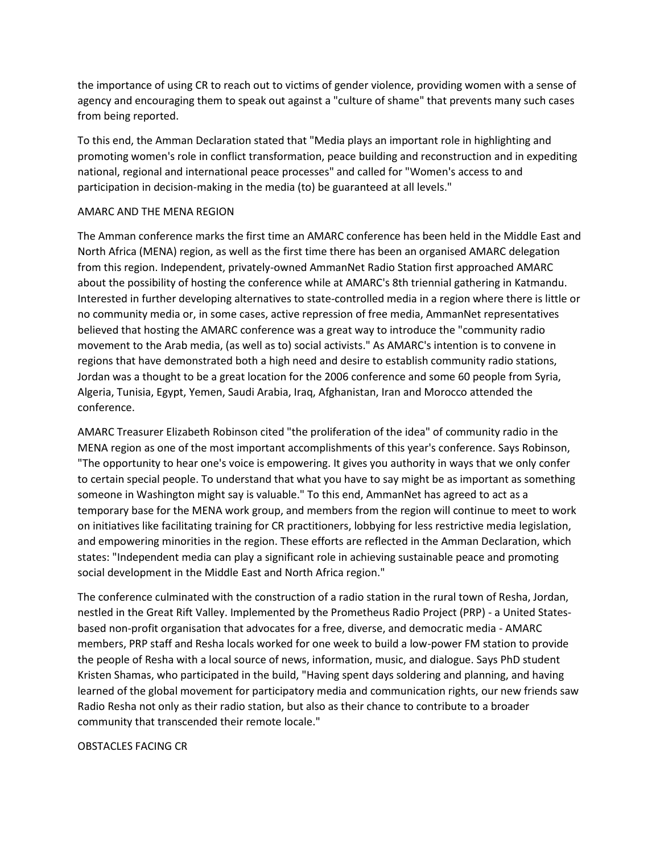the importance of using CR to reach out to victims of gender violence, providing women with a sense of agency and encouraging them to speak out against a "culture of shame" that prevents many such cases from being reported.

To this end, the Amman Declaration stated that "Media plays an important role in highlighting and promoting women's role in conflict transformation, peace building and reconstruction and in expediting national, regional and international peace processes" and called for "Women's access to and participation in decision-making in the media (to) be guaranteed at all levels."

#### AMARC AND THE MENA REGION

The Amman conference marks the first time an AMARC conference has been held in the Middle East and North Africa (MENA) region, as well as the first time there has been an organised AMARC delegation from this region. Independent, privately-owned AmmanNet Radio Station first approached AMARC about the possibility of hosting the conference while at AMARC's 8th triennial gathering in Katmandu. Interested in further developing alternatives to state-controlled media in a region where there is little or no community media or, in some cases, active repression of free media, AmmanNet representatives believed that hosting the AMARC conference was a great way to introduce the "community radio movement to the Arab media, (as well as to) social activists." As AMARC's intention is to convene in regions that have demonstrated both a high need and desire to establish community radio stations, Jordan was a thought to be a great location for the 2006 conference and some 60 people from Syria, Algeria, Tunisia, Egypt, Yemen, Saudi Arabia, Iraq, Afghanistan, Iran and Morocco attended the conference.

AMARC Treasurer Elizabeth Robinson cited "the proliferation of the idea" of community radio in the MENA region as one of the most important accomplishments of this year's conference. Says Robinson, "The opportunity to hear one's voice is empowering. It gives you authority in ways that we only confer to certain special people. To understand that what you have to say might be as important as something someone in Washington might say is valuable." To this end, AmmanNet has agreed to act as a temporary base for the MENA work group, and members from the region will continue to meet to work on initiatives like facilitating training for CR practitioners, lobbying for less restrictive media legislation, and empowering minorities in the region. These efforts are reflected in the Amman Declaration, which states: "Independent media can play a significant role in achieving sustainable peace and promoting social development in the Middle East and North Africa region."

The conference culminated with the construction of a radio station in the rural town of Resha, Jordan, nestled in the Great Rift Valley. Implemented by the Prometheus Radio Project (PRP) - a United Statesbased non-profit organisation that advocates for a free, diverse, and democratic media - AMARC members, PRP staff and Resha locals worked for one week to build a low-power FM station to provide the people of Resha with a local source of news, information, music, and dialogue. Says PhD student Kristen Shamas, who participated in the build, "Having spent days soldering and planning, and having learned of the global movement for participatory media and communication rights, our new friends saw Radio Resha not only as their radio station, but also as their chance to contribute to a broader community that transcended their remote locale."

#### OBSTACLES FACING CR